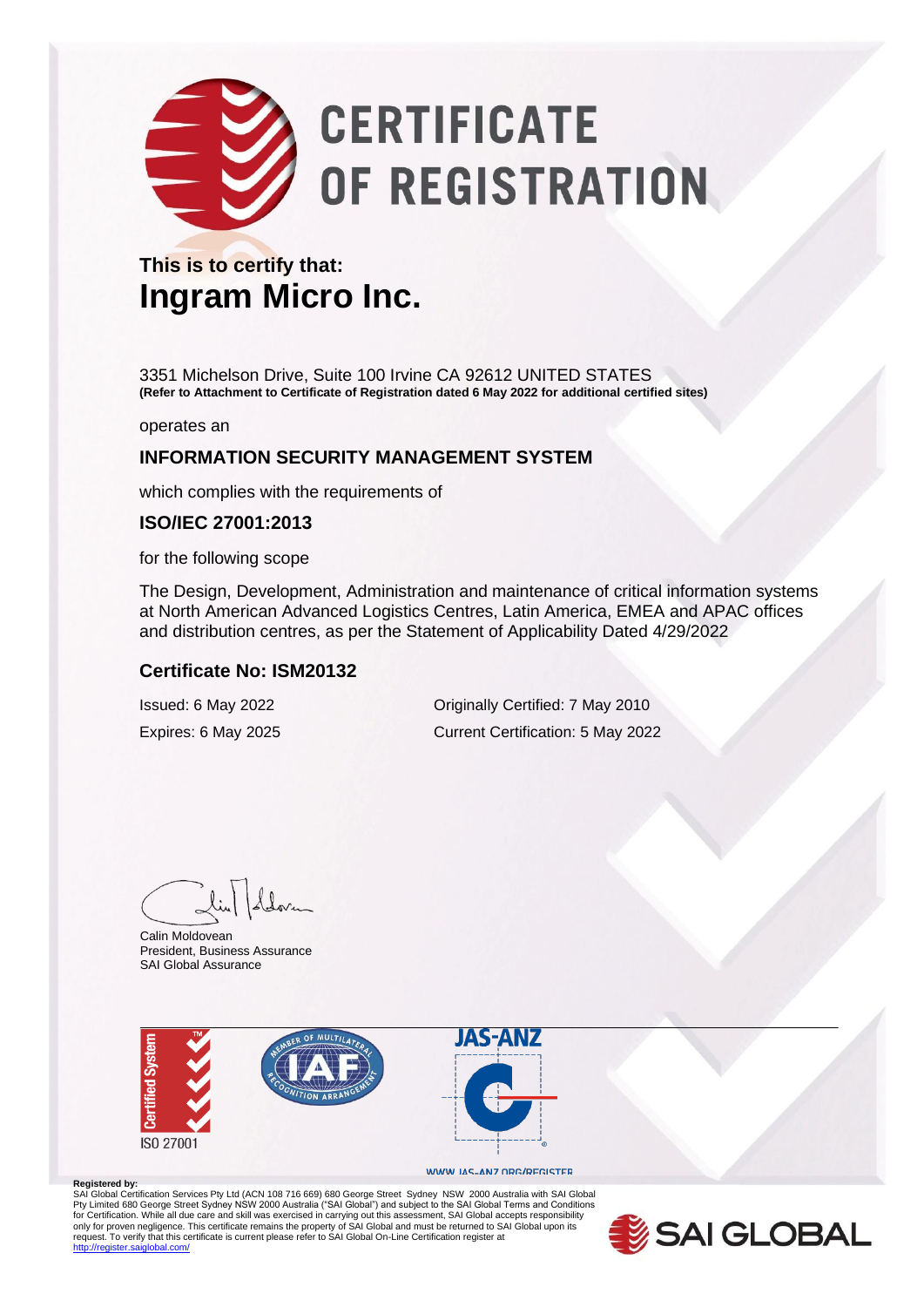# **CERTIFICATE** OF REGISTRATION

#### **This is to certify that: Ingram Micro Inc.**

3351 Michelson Drive, Suite 100 Irvine CA 92612 UNITED STATES **(Refer to Attachment to Certificate of Registration dated 6 May 2022 for additional certified sites)**

operates an

#### **INFORMATION SECURITY MANAGEMENT SYSTEM**

which complies with the requirements of

#### **ISO/IEC 27001:2013**

for the following scope

The Design, Development, Administration and maintenance of critical information systems at North American Advanced Logistics Centres, Latin America, EMEA and APAC offices and distribution centres, as per the Statement of Applicability Dated 4/29/2022

#### **Certificate No: ISM20132**

Issued: 6 May 2022 Originally Certified: 7 May 2010 Expires: 6 May 2025 Current Certification: 5 May 2022

Calin Moldovean President, Business Assurance SAI Global Assurance



#### WWW.JAS-ANZ.ORG/REGISTER

**Registered by:** SAI Global Certification Services Pty Ltd (ACN 108 716 669) 680 George Street Sydney NSW 2000 Australia with SAI Global Pty Limited 680 George Street Sydney NSW 2000 Australia ("SAI Global") and subject to the SAI Global Terms and Conditions<br>for Certification. While all due care and skill was exercised in carrying out this assessment, SAI G only for proven negligence. This certificate remains the property of SAI Global and must be returned to SAI Global upon its<br>request. To verify that this certificate is current please refer to SAI Global On-Line Certificati .<br>diobal.com/

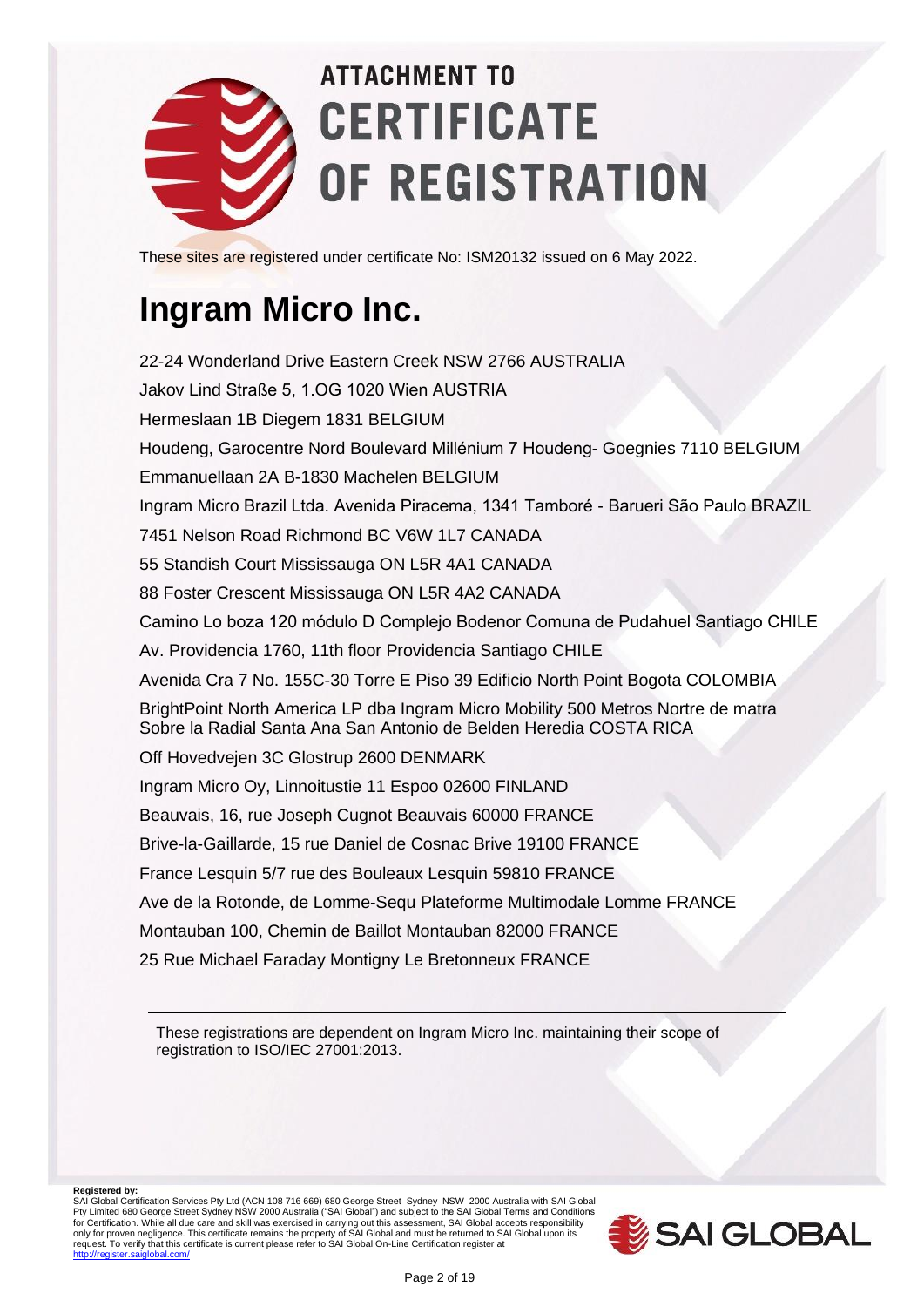

These sites are registered under certificate No: ISM20132 issued on 6 May 2022.

### **Ingram Micro Inc.**

22-24 Wonderland Drive Eastern Creek NSW 2766 AUSTRALIA Jakov Lind Straße 5, 1.OG 1020 Wien AUSTRIA Hermeslaan 1B Diegem 1831 BELGIUM Houdeng, Garocentre Nord Boulevard Millénium 7 Houdeng- Goegnies 7110 BELGIUM Emmanuellaan 2A B-1830 Machelen BELGIUM Ingram Micro Brazil Ltda. Avenida Piracema, 1341 Tamboré - Barueri São Paulo BRAZIL 7451 Nelson Road Richmond BC V6W 1L7 CANADA 55 Standish Court Mississauga ON L5R 4A1 CANADA 88 Foster Crescent Mississauga ON L5R 4A2 CANADA Camino Lo boza 120 módulo D Complejo Bodenor Comuna de Pudahuel Santiago CHILE Av. Providencia 1760, 11th floor Providencia Santiago CHILE Avenida Cra 7 No. 155C-30 Torre E Piso 39 Edificio North Point Bogota COLOMBIA BrightPoint North America LP dba Ingram Micro Mobility 500 Metros Nortre de matra Sobre la Radial Santa Ana San Antonio de Belden Heredia COSTA RICA Off Hovedvejen 3C Glostrup 2600 DENMARK Ingram Micro Oy, Linnoitustie 11 Espoo 02600 FINLAND Beauvais, 16, rue Joseph Cugnot Beauvais 60000 FRANCE Brive-la-Gaillarde, 15 rue Daniel de Cosnac Brive 19100 FRANCE France Lesquin 5/7 rue des Bouleaux Lesquin 59810 FRANCE Ave de la Rotonde, de Lomme-Sequ Plateforme Multimodale Lomme FRANCE Montauban 100, Chemin de Baillot Montauban 82000 FRANCE 25 Rue Michael Faraday Montigny Le Bretonneux FRANCE

These registrations are dependent on Ingram Micro Inc. maintaining their scope of registration to ISO/IEC 27001:2013.

**Registered by:** SAI Global Certification Services Pty Ltd (ACN 108 716 669) 680 George Street Sydney NSW 2000 Australia with SAI Global<br>Pty Limited 680 George Street Sydney NSW 2000 Australia ("SAI Global") and subject to the SAI Globa for Certification. While all due care and skill was exercised in carrying out this assessment, SAI Global accepts responsibility<br>only for proven negligence. This certificate remains the property of SAI Global and must be r

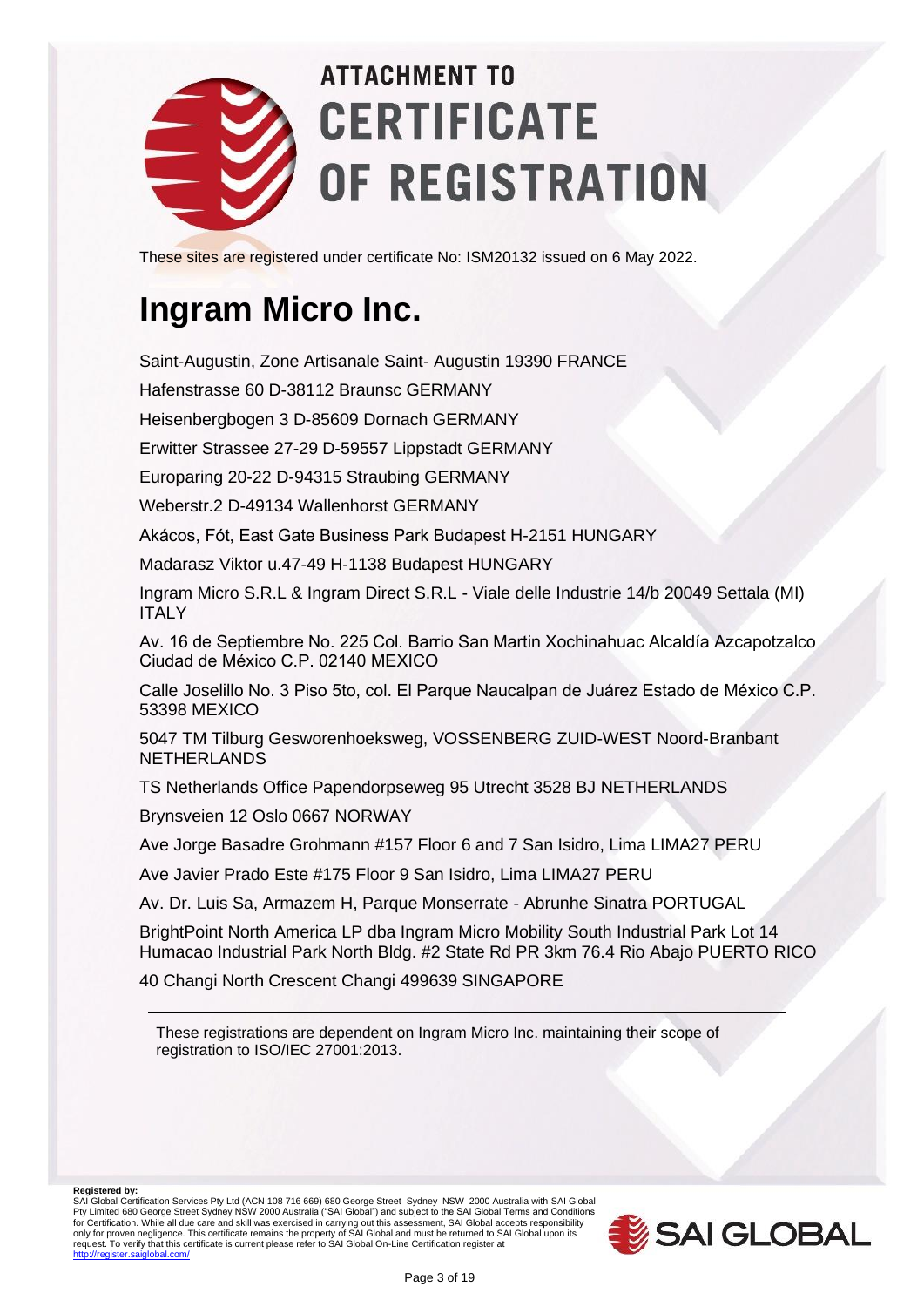

These sites are registered under certificate No: ISM20132 issued on 6 May 2022.

### **Ingram Micro Inc.**

Saint-Augustin, Zone Artisanale Saint- Augustin 19390 FRANCE

Hafenstrasse 60 D-38112 Braunsc GERMANY

Heisenbergbogen 3 D-85609 Dornach GERMANY

Erwitter Strassee 27-29 D-59557 Lippstadt GERMANY

Europaring 20-22 D-94315 Straubing GERMANY

Weberstr.2 D-49134 Wallenhorst GERMANY

Akácos, Fót, East Gate Business Park Budapest H-2151 HUNGARY

Madarasz Viktor u.47-49 H-1138 Budapest HUNGARY

Ingram Micro S.R.L & Ingram Direct S.R.L - Viale delle Industrie 14/b 20049 Settala (MI) ITALY

Av. 16 de Septiembre No. 225 Col. Barrio San Martin Xochinahuac Alcaldía Azcapotzalco Ciudad de México C.P. 02140 MEXICO

Calle Joselillo No. 3 Piso 5to, col. El Parque Naucalpan de Juárez Estado de México C.P. 53398 MEXICO

5047 TM Tilburg Gesworenhoeksweg, VOSSENBERG ZUID-WEST Noord-Branbant NETHERLANDS

TS Netherlands Office Papendorpseweg 95 Utrecht 3528 BJ NETHERLANDS

Brynsveien 12 Oslo 0667 NORWAY

Ave Jorge Basadre Grohmann #157 Floor 6 and 7 San Isidro, Lima LIMA27 PERU

Ave Javier Prado Este #175 Floor 9 San Isidro, Lima LIMA27 PERU

Av. Dr. Luis Sa, Armazem H, Parque Monserrate - Abrunhe Sinatra PORTUGAL

BrightPoint North America LP dba Ingram Micro Mobility South Industrial Park Lot 14 Humacao Industrial Park North Bldg. #2 State Rd PR 3km 76.4 Rio Abajo PUERTO RICO

40 Changi North Crescent Changi 499639 SINGAPORE

These registrations are dependent on Ingram Micro Inc. maintaining their scope of registration to ISO/IEC 27001:2013.

**Registered by:**

SAI Global Certification Services Pty Ltd (ACN 108 716 669) 680 George Street Sydney NSW 2000 Australia with SAI Global<br>Pty Limited 680 George Street Sydney NSW 2000 Australia ("SAI Global") and subject to the SAI Globa for Certification. While all due care and skill was exercised in carrying out this assessment, SAI Global accepts responsibility<br>only for proven negligence. This certificate remains the property of SAI Global and must be r

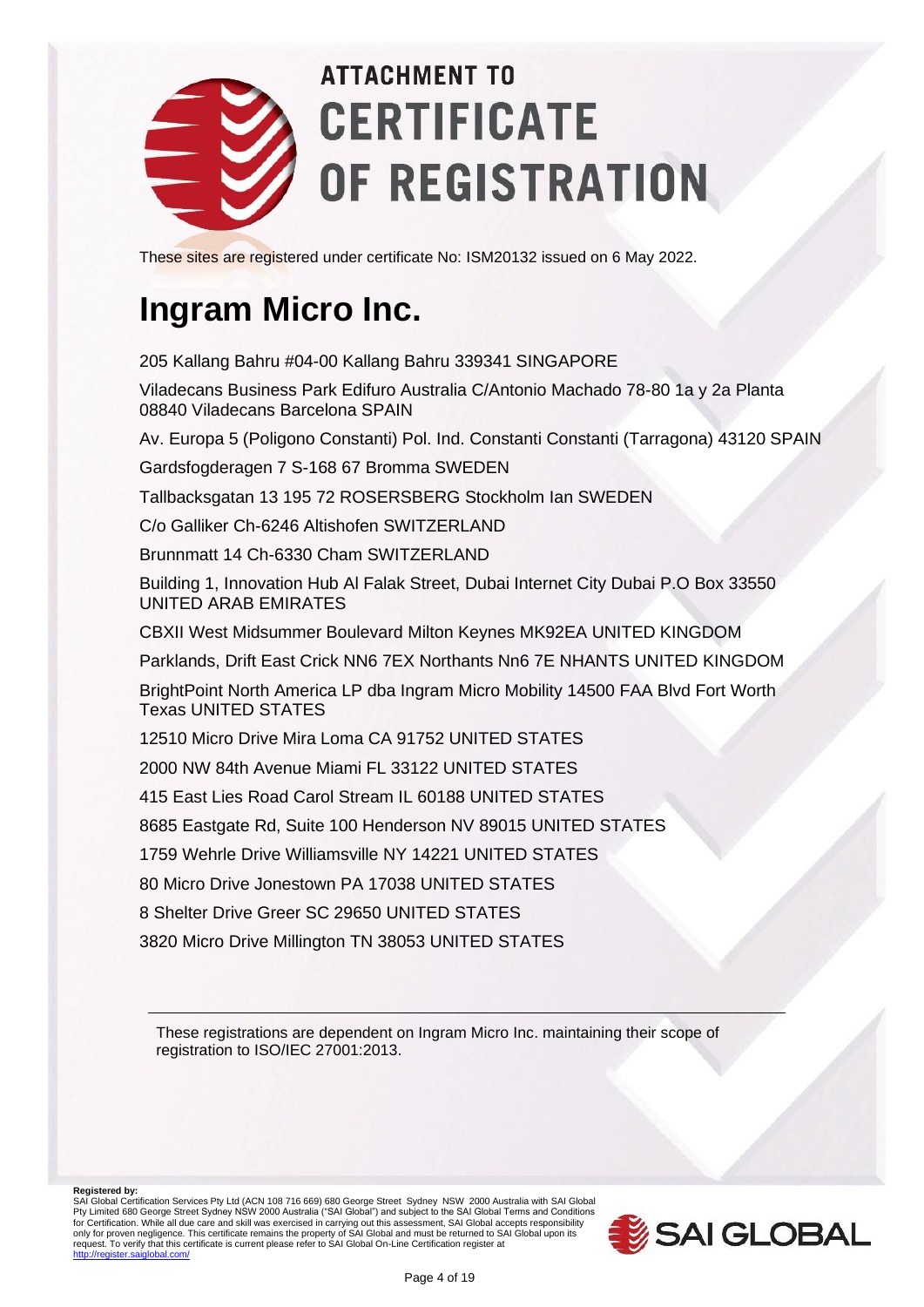

These sites are registered under certificate No: ISM20132 issued on 6 May 2022.

#### **Ingram Micro Inc.**

205 Kallang Bahru #04-00 Kallang Bahru 339341 SINGAPORE

Viladecans Business Park Edifuro Australia C/Antonio Machado 78-80 1a y 2a Planta 08840 Viladecans Barcelona SPAIN

Av. Europa 5 (Poligono Constanti) Pol. Ind. Constanti Constanti (Tarragona) 43120 SPAIN

Gardsfogderagen 7 S-168 67 Bromma SWEDEN

Tallbacksgatan 13 195 72 ROSERSBERG Stockholm Ian SWEDEN

C/o Galliker Ch-6246 Altishofen SWITZERLAND

Brunnmatt 14 Ch-6330 Cham SWITZERLAND

Building 1, Innovation Hub Al Falak Street, Dubai Internet City Dubai P.O Box 33550 UNITED ARAB EMIRATES

CBXII West Midsummer Boulevard Milton Keynes MK92EA UNITED KINGDOM

Parklands, Drift East Crick NN6 7EX Northants Nn6 7E NHANTS UNITED KINGDOM

BrightPoint North America LP dba Ingram Micro Mobility 14500 FAA Blvd Fort Worth Texas UNITED STATES

12510 Micro Drive Mira Loma CA 91752 UNITED STATES

2000 NW 84th Avenue Miami FL 33122 UNITED STATES

415 East Lies Road Carol Stream IL 60188 UNITED STATES

8685 Eastgate Rd, Suite 100 Henderson NV 89015 UNITED STATES

1759 Wehrle Drive Williamsville NY 14221 UNITED STATES

80 Micro Drive Jonestown PA 17038 UNITED STATES

8 Shelter Drive Greer SC 29650 UNITED STATES

3820 Micro Drive Millington TN 38053 UNITED STATES

These registrations are dependent on Ingram Micro Inc. maintaining their scope of registration to ISO/IEC 27001:2013.

**Registered by:**

SAI Global Certification Services Pty Ltd (ACN 108 716 669) 680 George Street Sydney NSW 2000 Australia with SAI Global<br>Pty Limited 680 George Street Sydney NSW 2000 Australia ("SAI Global") and subject to the SAI Globa for Certification. While all due care and skill was exercised in carrying out this assessment, SAI Global accepts responsibility<br>only for proven negligence. This certificate remains the property of SAI Global and must be r

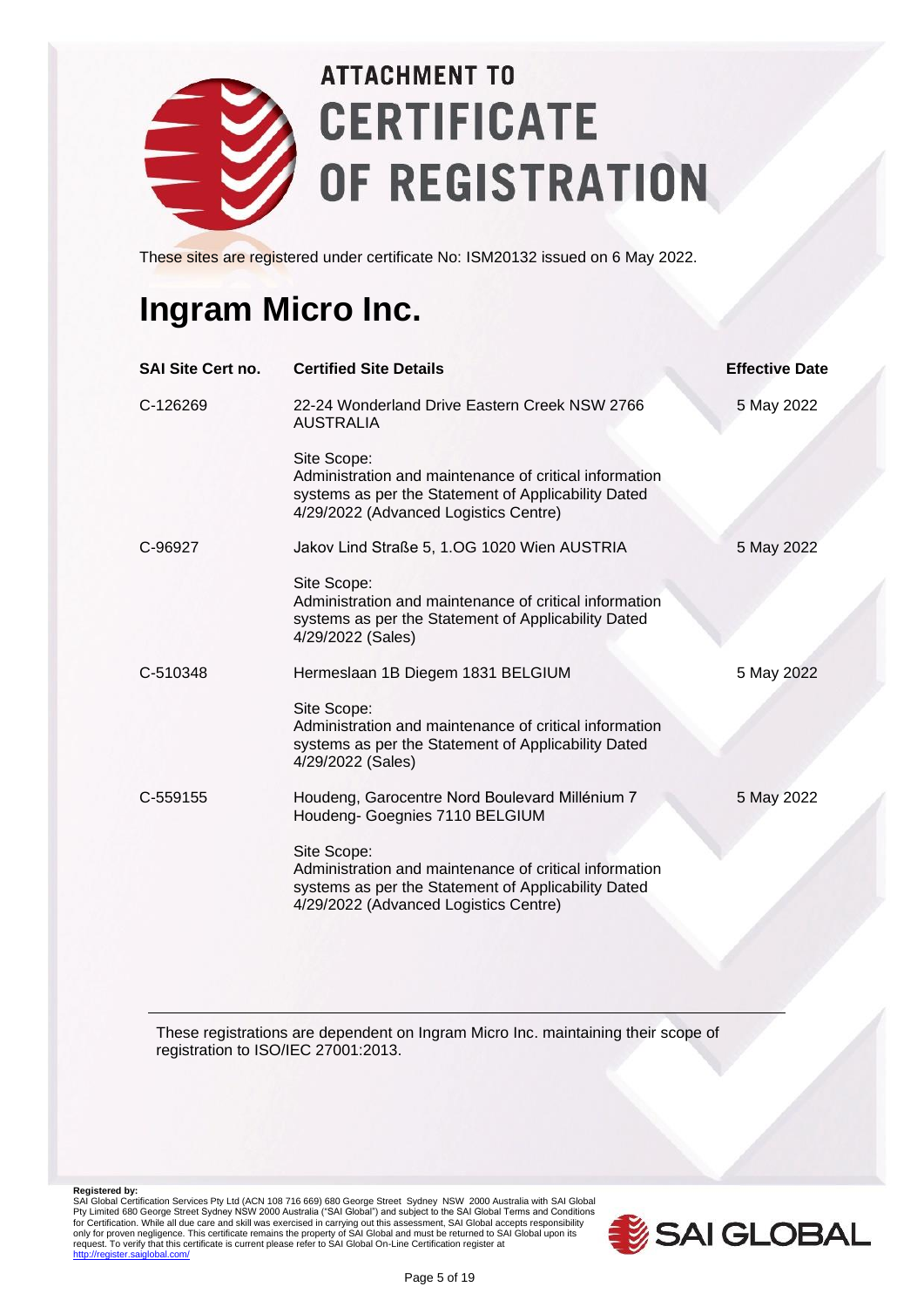

These sites are registered under certificate No: ISM20132 issued on 6 May 2022.

#### **Ingram Micro Inc.**

| <b>SAI Site Cert no.</b> | <b>Certified Site Details</b>                                                                                                                                         | <b>Effective Date</b> |
|--------------------------|-----------------------------------------------------------------------------------------------------------------------------------------------------------------------|-----------------------|
| C-126269                 | 22-24 Wonderland Drive Eastern Creek NSW 2766<br><b>AUSTRALIA</b>                                                                                                     | 5 May 2022            |
|                          | Site Scope:<br>Administration and maintenance of critical information<br>systems as per the Statement of Applicability Dated<br>4/29/2022 (Advanced Logistics Centre) |                       |
| C-96927                  | Jakov Lind Straße 5, 1.OG 1020 Wien AUSTRIA                                                                                                                           | 5 May 2022            |
|                          | Site Scope:<br>Administration and maintenance of critical information<br>systems as per the Statement of Applicability Dated<br>4/29/2022 (Sales)                     |                       |
| C-510348                 | Hermeslaan 1B Diegem 1831 BELGIUM                                                                                                                                     | 5 May 2022            |
|                          | Site Scope:<br>Administration and maintenance of critical information<br>systems as per the Statement of Applicability Dated<br>4/29/2022 (Sales)                     |                       |
| C-559155                 | Houdeng, Garocentre Nord Boulevard Millénium 7<br>Houdeng- Goegnies 7110 BELGIUM                                                                                      | 5 May 2022            |
|                          | Site Scope:<br>Administration and maintenance of critical information<br>systems as per the Statement of Applicability Dated<br>4/29/2022 (Advanced Logistics Centre) |                       |

These registrations are dependent on Ingram Micro Inc. maintaining their scope of registration to ISO/IEC 27001:2013.

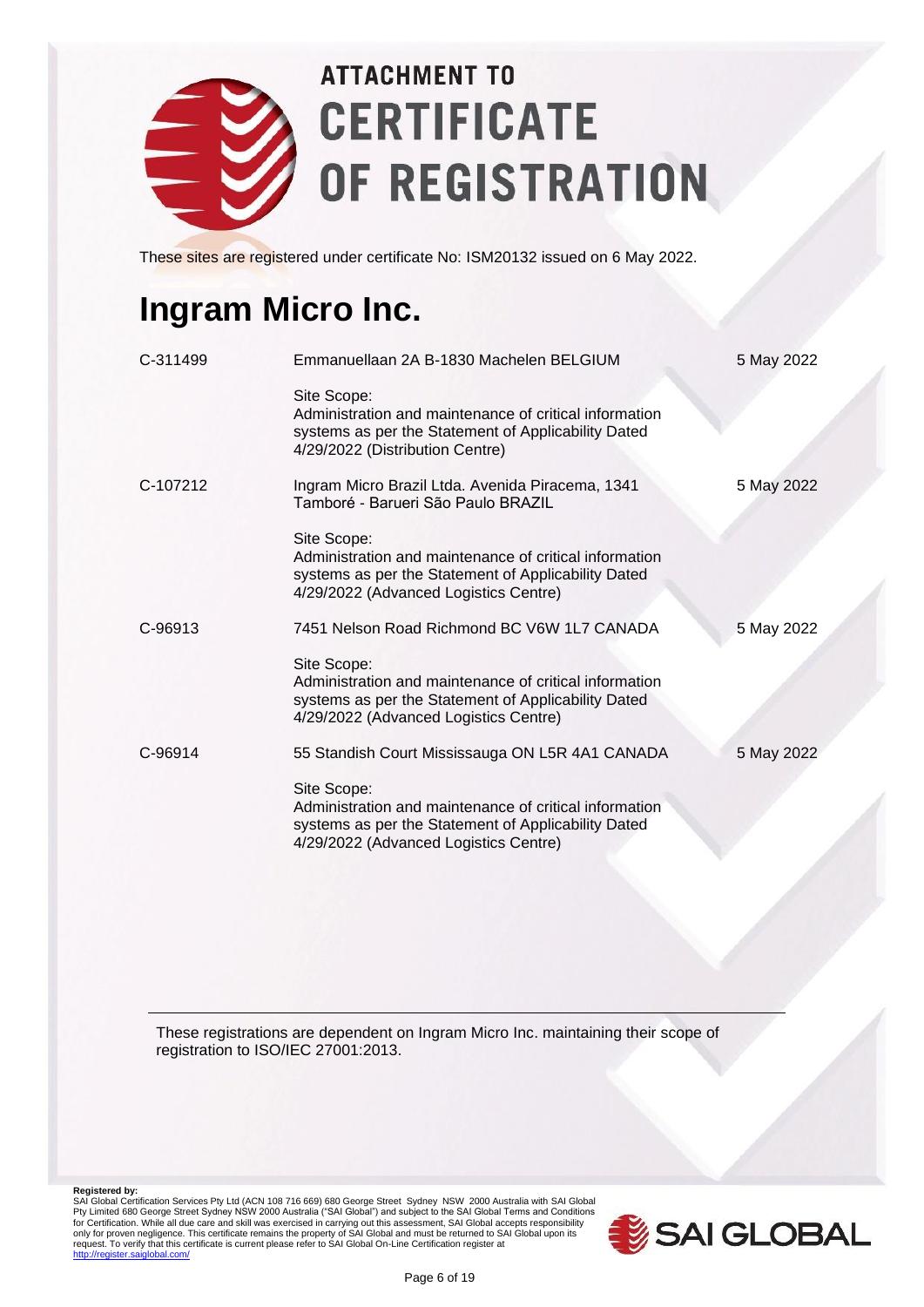

These sites are registered under certificate No: ISM20132 issued on 6 May 2022.

### **Ingram Micro Inc.**

| C-311499 | Emmanuellaan 2A B-1830 Machelen BELGIUM                                                                                                                               | 5 May 2022 |
|----------|-----------------------------------------------------------------------------------------------------------------------------------------------------------------------|------------|
|          | Site Scope:<br>Administration and maintenance of critical information<br>systems as per the Statement of Applicability Dated<br>4/29/2022 (Distribution Centre)       |            |
| C-107212 | Ingram Micro Brazil Ltda. Avenida Piracema, 1341<br>Tamboré - Barueri São Paulo BRAZIL                                                                                | 5 May 2022 |
|          | Site Scope:<br>Administration and maintenance of critical information<br>systems as per the Statement of Applicability Dated<br>4/29/2022 (Advanced Logistics Centre) |            |
| C-96913  | 7451 Nelson Road Richmond BC V6W 1L7 CANADA                                                                                                                           | 5 May 2022 |
|          | Site Scope:<br>Administration and maintenance of critical information<br>systems as per the Statement of Applicability Dated<br>4/29/2022 (Advanced Logistics Centre) |            |
| C-96914  | 55 Standish Court Mississauga ON L5R 4A1 CANADA                                                                                                                       | 5 May 2022 |
|          | Site Scope:<br>Administration and maintenance of critical information<br>systems as per the Statement of Applicability Dated<br>4/29/2022 (Advanced Logistics Centre) |            |

These registrations are dependent on Ingram Micro Inc. maintaining their scope of registration to ISO/IEC 27001:2013.

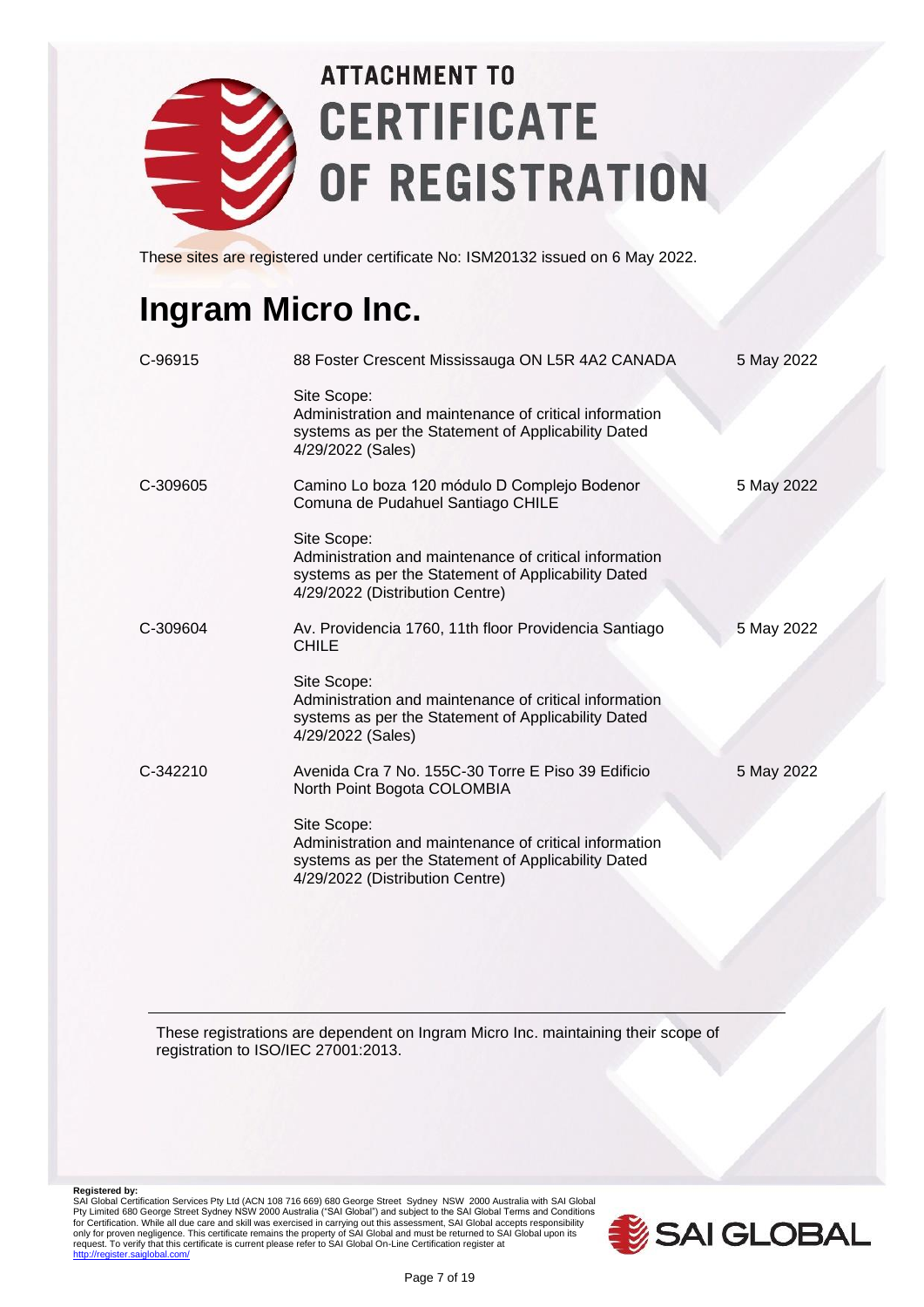

These sites are registered under certificate No: ISM20132 issued on 6 May 2022.

### **Ingram Micro Inc.**

| C-96915  | 88 Foster Crescent Mississauga ON L5R 4A2 CANADA                                                                                                                | 5 May 2022 |
|----------|-----------------------------------------------------------------------------------------------------------------------------------------------------------------|------------|
|          | Site Scope:<br>Administration and maintenance of critical information<br>systems as per the Statement of Applicability Dated<br>4/29/2022 (Sales)               |            |
| C-309605 | Camino Lo boza 120 módulo D Complejo Bodenor<br>Comuna de Pudahuel Santiago CHILE                                                                               | 5 May 2022 |
|          | Site Scope:<br>Administration and maintenance of critical information<br>systems as per the Statement of Applicability Dated<br>4/29/2022 (Distribution Centre) |            |
| C-309604 | Av. Providencia 1760, 11th floor Providencia Santiago<br>CHILE                                                                                                  | 5 May 2022 |
|          | Site Scope:<br>Administration and maintenance of critical information<br>systems as per the Statement of Applicability Dated<br>4/29/2022 (Sales)               |            |
| C-342210 | Avenida Cra 7 No. 155C-30 Torre E Piso 39 Edificio<br>North Point Bogota COLOMBIA                                                                               | 5 May 2022 |
|          | Site Scope:<br>Administration and maintenance of critical information<br>systems as per the Statement of Applicability Dated<br>4/29/2022 (Distribution Centre) |            |

These registrations are dependent on Ingram Micro Inc. maintaining their scope of registration to ISO/IEC 27001:2013.

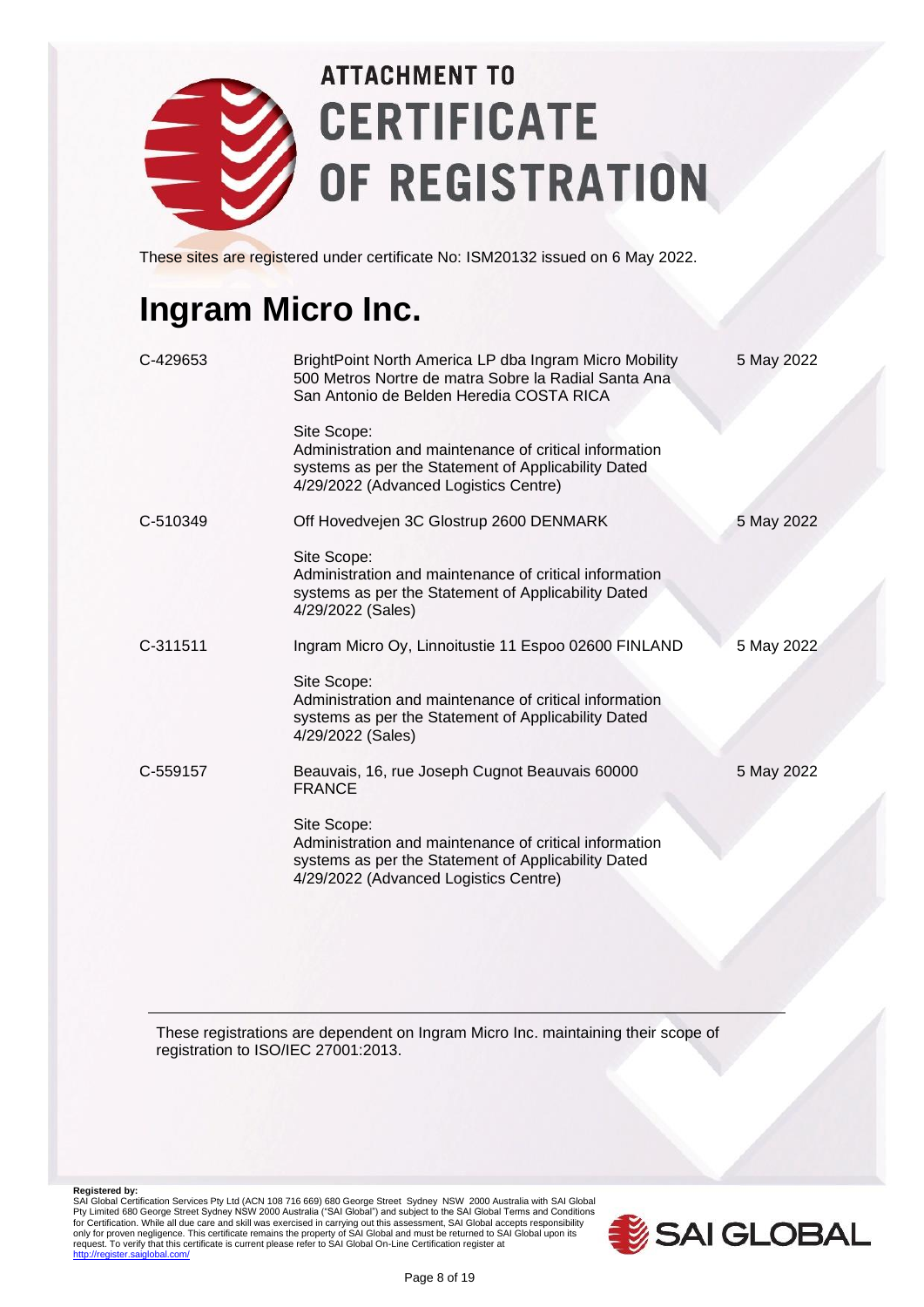

These sites are registered under certificate No: ISM20132 issued on 6 May 2022.

#### **Ingram Micro Inc.**

| C-429653 | BrightPoint North America LP dba Ingram Micro Mobility<br>500 Metros Nortre de matra Sobre la Radial Santa Ana<br>San Antonio de Belden Heredia COSTA RICA            | 5 May 2022 |
|----------|-----------------------------------------------------------------------------------------------------------------------------------------------------------------------|------------|
|          | Site Scope:<br>Administration and maintenance of critical information<br>systems as per the Statement of Applicability Dated<br>4/29/2022 (Advanced Logistics Centre) |            |
| C-510349 | Off Hovedvejen 3C Glostrup 2600 DENMARK                                                                                                                               | 5 May 2022 |
|          | Site Scope:<br>Administration and maintenance of critical information<br>systems as per the Statement of Applicability Dated<br>4/29/2022 (Sales)                     |            |
| C-311511 | Ingram Micro Oy, Linnoitustie 11 Espoo 02600 FINLAND                                                                                                                  | 5 May 2022 |
|          | Site Scope:<br>Administration and maintenance of critical information<br>systems as per the Statement of Applicability Dated<br>4/29/2022 (Sales)                     |            |
| C-559157 | Beauvais, 16, rue Joseph Cugnot Beauvais 60000<br><b>FRANCE</b>                                                                                                       | 5 May 2022 |
|          | Site Scope:<br>Administration and maintenance of critical information<br>systems as per the Statement of Applicability Dated<br>4/29/2022 (Advanced Logistics Centre) |            |

These registrations are dependent on Ingram Micro Inc. maintaining their scope of registration to ISO/IEC 27001:2013.

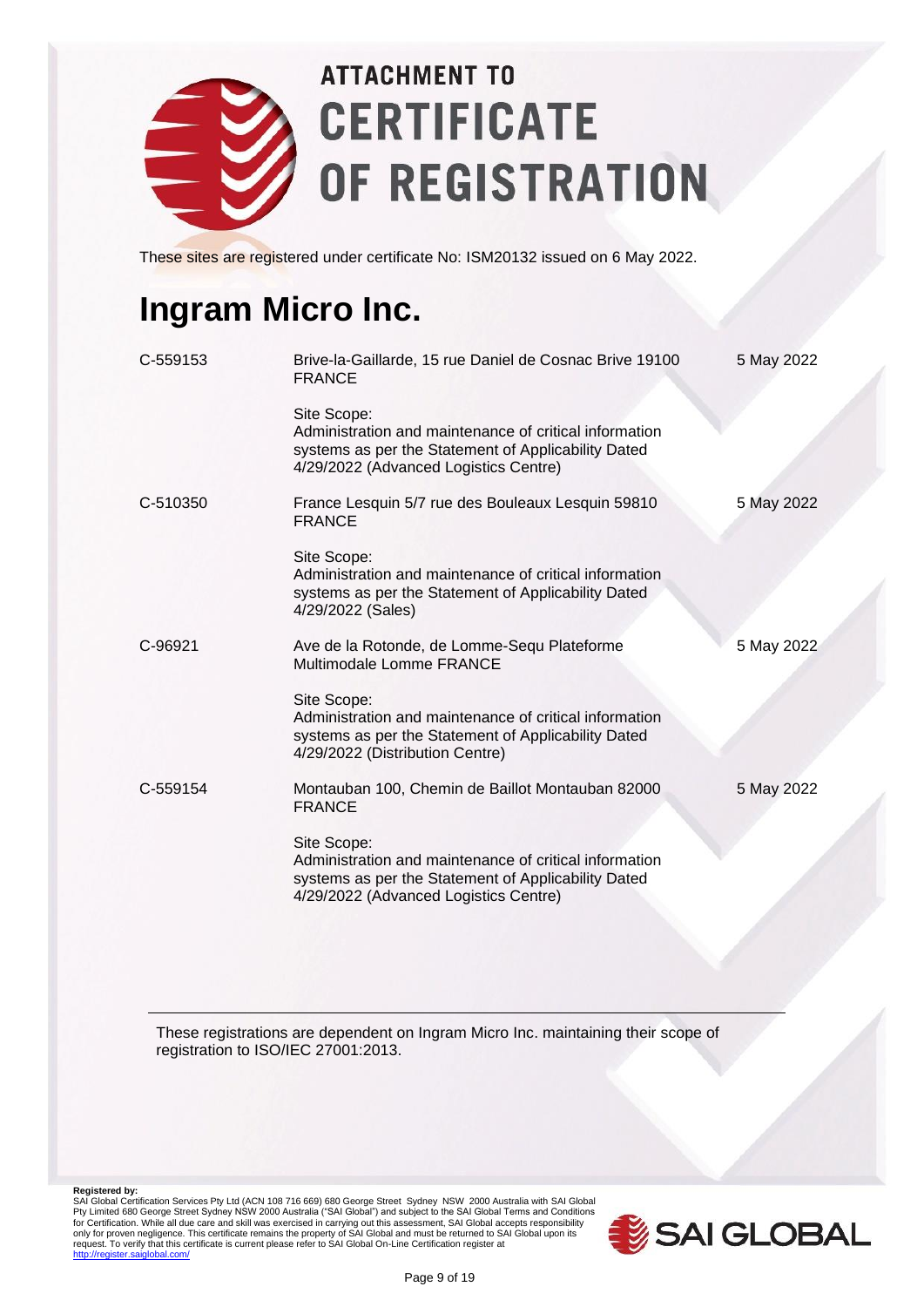

These sites are registered under certificate No: ISM20132 issued on 6 May 2022.

#### **Ingram Micro Inc.**

| C-559153 | Brive-la-Gaillarde, 15 rue Daniel de Cosnac Brive 19100<br><b>FRANCE</b>                                                                                              | 5 May 2022 |
|----------|-----------------------------------------------------------------------------------------------------------------------------------------------------------------------|------------|
|          | Site Scope:<br>Administration and maintenance of critical information<br>systems as per the Statement of Applicability Dated<br>4/29/2022 (Advanced Logistics Centre) |            |
| C-510350 | France Lesquin 5/7 rue des Bouleaux Lesquin 59810<br><b>FRANCE</b>                                                                                                    | 5 May 2022 |
|          | Site Scope:<br>Administration and maintenance of critical information<br>systems as per the Statement of Applicability Dated<br>4/29/2022 (Sales)                     |            |
| C-96921  | Ave de la Rotonde, de Lomme-Sequ Plateforme<br>Multimodale Lomme FRANCE                                                                                               | 5 May 2022 |
|          | Site Scope:<br>Administration and maintenance of critical information<br>systems as per the Statement of Applicability Dated<br>4/29/2022 (Distribution Centre)       |            |
| C-559154 | Montauban 100, Chemin de Baillot Montauban 82000<br><b>FRANCE</b>                                                                                                     | 5 May 2022 |
|          | Site Scope:<br>Administration and maintenance of critical information<br>systems as per the Statement of Applicability Dated<br>4/29/2022 (Advanced Logistics Centre) |            |

These registrations are dependent on Ingram Micro Inc. maintaining their scope of registration to ISO/IEC 27001:2013.

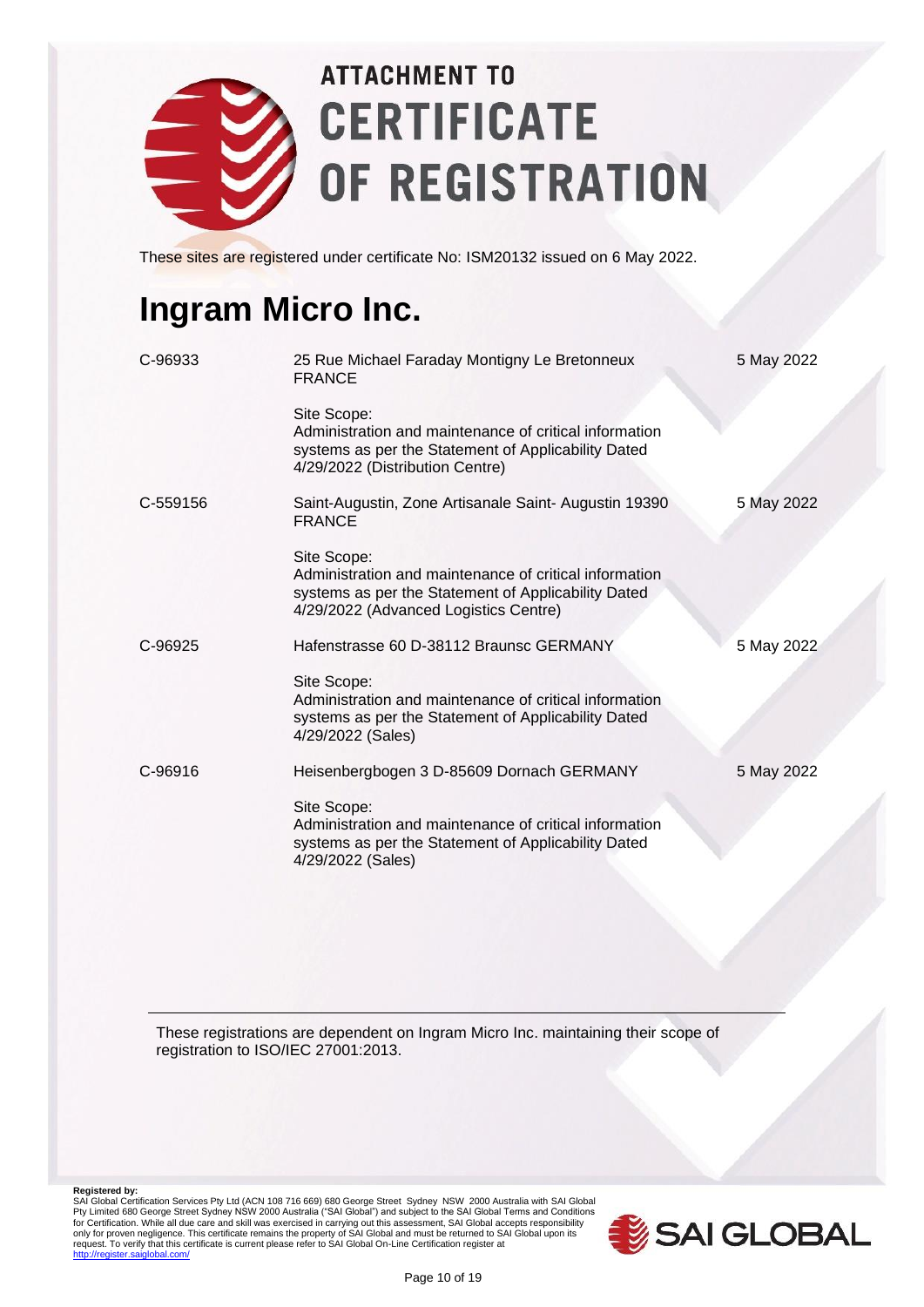

These sites are registered under certificate No: ISM20132 issued on 6 May 2022.

### **Ingram Micro Inc.**

| 25 Rue Michael Faraday Montigny Le Bretonneux<br><b>FRANCE</b>                                                                                                        | 5 May 2022 |
|-----------------------------------------------------------------------------------------------------------------------------------------------------------------------|------------|
| Site Scope:<br>Administration and maintenance of critical information<br>systems as per the Statement of Applicability Dated<br>4/29/2022 (Distribution Centre)       |            |
| Saint-Augustin, Zone Artisanale Saint- Augustin 19390<br><b>FRANCE</b>                                                                                                | 5 May 2022 |
| Site Scope:<br>Administration and maintenance of critical information<br>systems as per the Statement of Applicability Dated<br>4/29/2022 (Advanced Logistics Centre) |            |
| Hafenstrasse 60 D-38112 Braunsc GERMANY                                                                                                                               | 5 May 2022 |
| Site Scope:<br>Administration and maintenance of critical information<br>systems as per the Statement of Applicability Dated<br>4/29/2022 (Sales)                     |            |
| Heisenbergbogen 3 D-85609 Dornach GERMANY                                                                                                                             | 5 May 2022 |
| Site Scope:<br>Administration and maintenance of critical information<br>systems as per the Statement of Applicability Dated<br>4/29/2022 (Sales)                     |            |
|                                                                                                                                                                       |            |

These registrations are dependent on Ingram Micro Inc. maintaining their scope of registration to ISO/IEC 27001:2013.

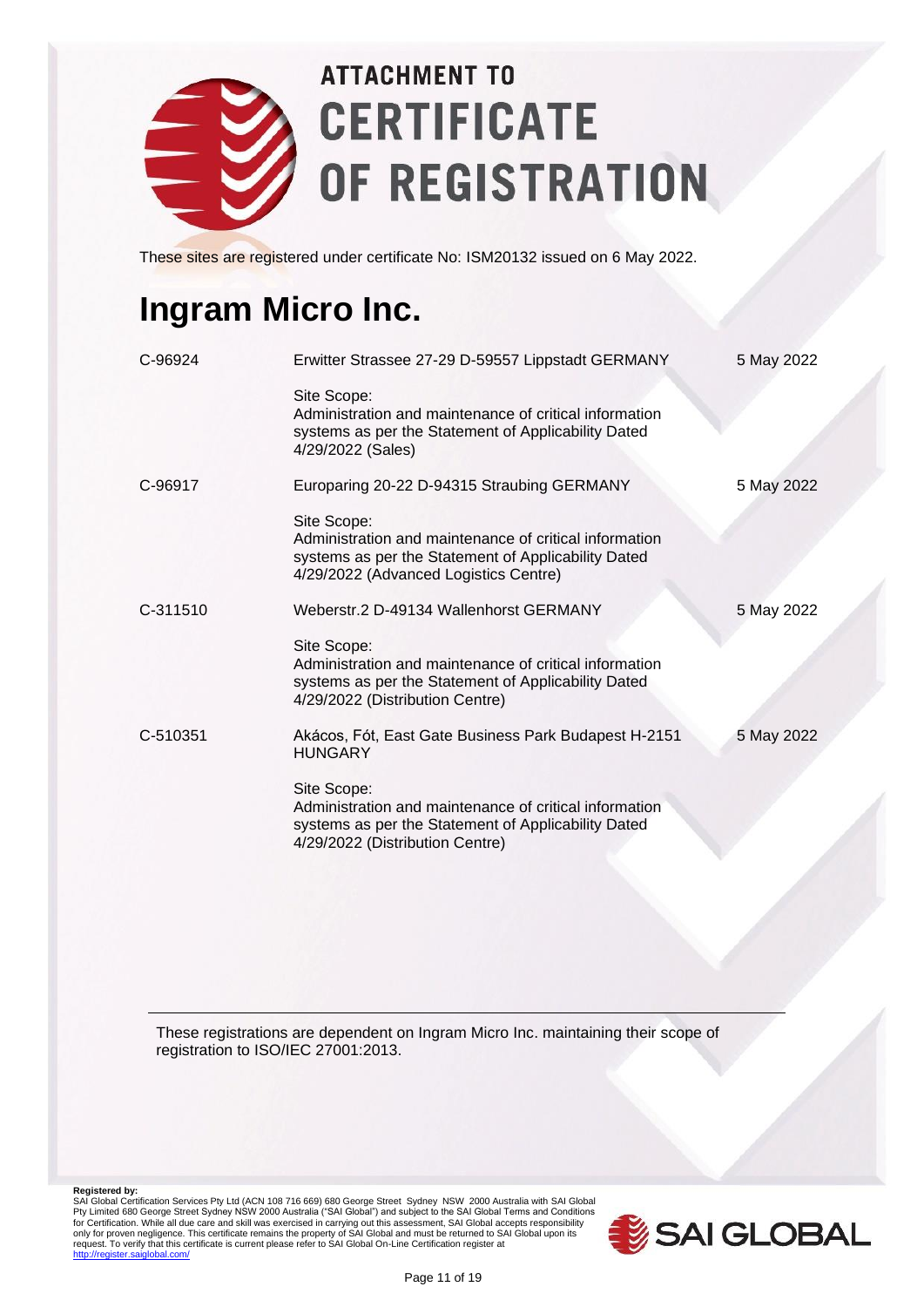

These sites are registered under certificate No: ISM20132 issued on 6 May 2022.

### **Ingram Micro Inc.**

| C-96924  | Erwitter Strassee 27-29 D-59557 Lippstadt GERMANY                                                                                                                     | 5 May 2022 |
|----------|-----------------------------------------------------------------------------------------------------------------------------------------------------------------------|------------|
|          | Site Scope:<br>Administration and maintenance of critical information<br>systems as per the Statement of Applicability Dated<br>4/29/2022 (Sales)                     |            |
| C-96917  | Europaring 20-22 D-94315 Straubing GERMANY                                                                                                                            | 5 May 2022 |
|          | Site Scope:<br>Administration and maintenance of critical information<br>systems as per the Statement of Applicability Dated<br>4/29/2022 (Advanced Logistics Centre) |            |
| C-311510 | Weberstr. 2 D-49134 Wallenhorst GERMANY                                                                                                                               | 5 May 2022 |
|          | Site Scope:<br>Administration and maintenance of critical information<br>systems as per the Statement of Applicability Dated<br>4/29/2022 (Distribution Centre)       |            |
| C-510351 | Akácos, Fót, East Gate Business Park Budapest H-2151<br><b>HUNGARY</b>                                                                                                | 5 May 2022 |
|          | Site Scope:<br>Administration and maintenance of critical information<br>systems as per the Statement of Applicability Dated<br>4/29/2022 (Distribution Centre)       |            |

These registrations are dependent on Ingram Micro Inc. maintaining their scope of registration to ISO/IEC 27001:2013.

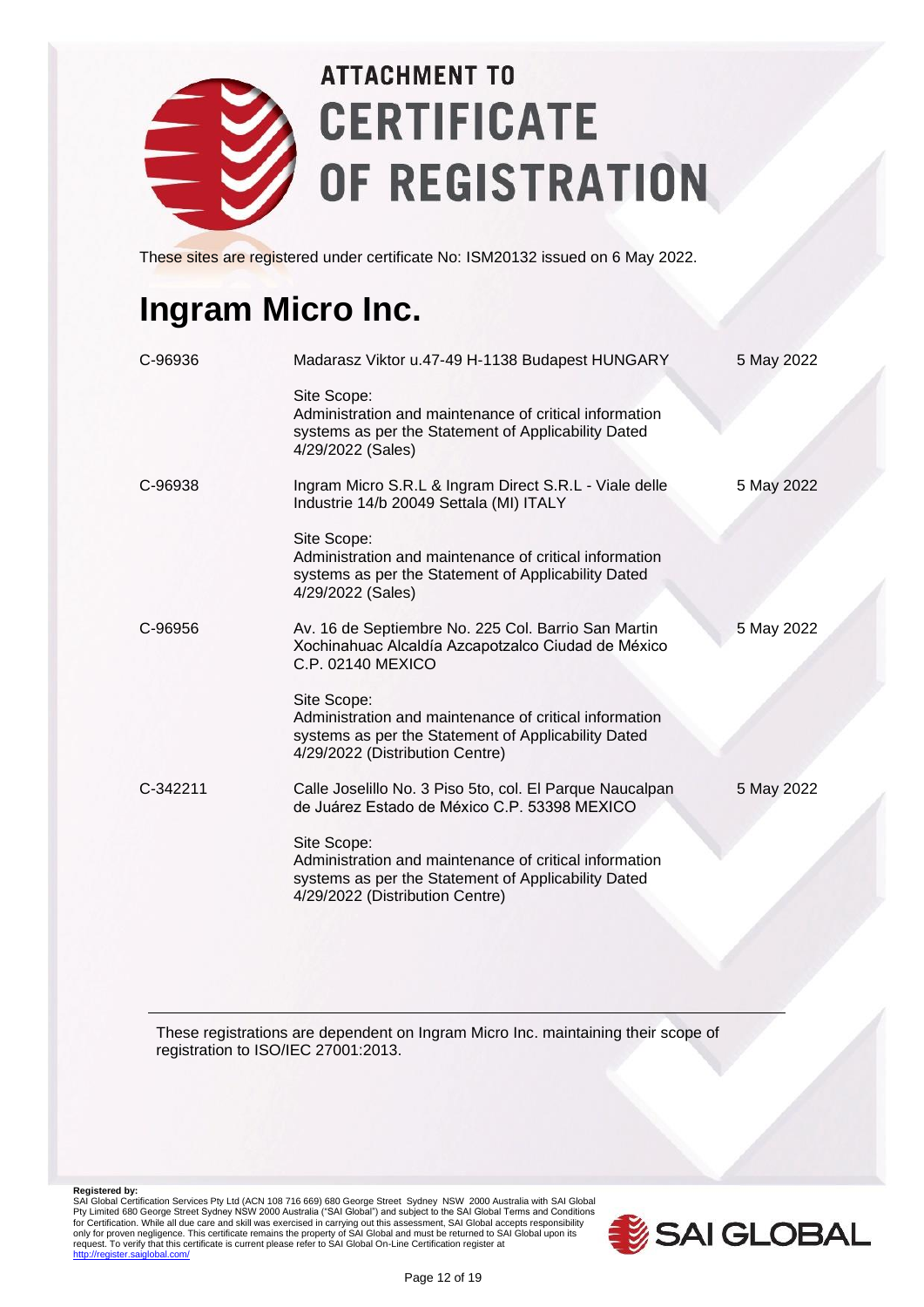

These sites are registered under certificate No: ISM20132 issued on 6 May 2022.

### **Ingram Micro Inc.**

| C-96936  | Madarasz Viktor u.47-49 H-1138 Budapest HUNGARY                                                                                                                 | 5 May 2022 |
|----------|-----------------------------------------------------------------------------------------------------------------------------------------------------------------|------------|
|          | Site Scope:<br>Administration and maintenance of critical information<br>systems as per the Statement of Applicability Dated<br>4/29/2022 (Sales)               |            |
| C-96938  | Ingram Micro S.R.L & Ingram Direct S.R.L - Viale delle<br>Industrie 14/b 20049 Settala (MI) ITALY                                                               | 5 May 2022 |
|          | Site Scope:<br>Administration and maintenance of critical information<br>systems as per the Statement of Applicability Dated<br>4/29/2022 (Sales)               |            |
| C-96956  | Av. 16 de Septiembre No. 225 Col. Barrio San Martin<br>Xochinahuac Alcaldía Azcapotzalco Ciudad de México<br>C.P. 02140 MEXICO                                  | 5 May 2022 |
|          | Site Scope:<br>Administration and maintenance of critical information<br>systems as per the Statement of Applicability Dated<br>4/29/2022 (Distribution Centre) |            |
| C-342211 | Calle Joselillo No. 3 Piso 5to, col. El Parque Naucalpan<br>de Juárez Estado de México C.P. 53398 MEXICO                                                        | 5 May 2022 |
|          | Site Scope:<br>Administration and maintenance of critical information<br>systems as per the Statement of Applicability Dated<br>4/29/2022 (Distribution Centre) |            |

These registrations are dependent on Ingram Micro Inc. maintaining their scope of registration to ISO/IEC 27001:2013.

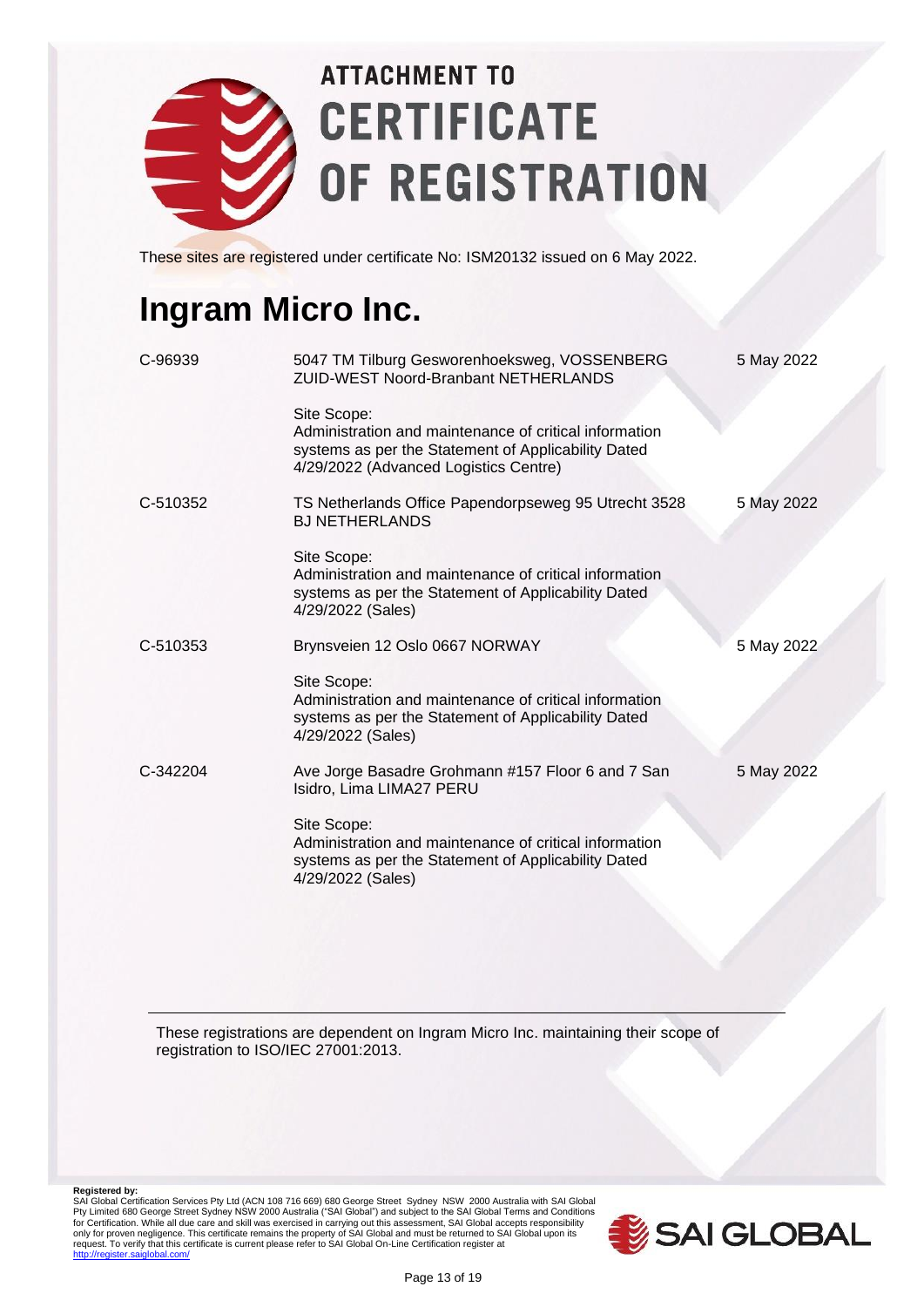

These sites are registered under certificate No: ISM20132 issued on 6 May 2022.

### **Ingram Micro Inc.**

| C-96939  | 5047 TM Tilburg Gesworenhoeksweg, VOSSENBERG<br><b>ZUID-WEST Noord-Branbant NETHERLANDS</b>                                                                           | 5 May 2022 |
|----------|-----------------------------------------------------------------------------------------------------------------------------------------------------------------------|------------|
|          | Site Scope:<br>Administration and maintenance of critical information<br>systems as per the Statement of Applicability Dated<br>4/29/2022 (Advanced Logistics Centre) |            |
| C-510352 | TS Netherlands Office Papendorpseweg 95 Utrecht 3528<br><b>BJ NETHERLANDS</b>                                                                                         | 5 May 2022 |
|          | Site Scope:<br>Administration and maintenance of critical information<br>systems as per the Statement of Applicability Dated<br>4/29/2022 (Sales)                     |            |
| C-510353 | Brynsveien 12 Oslo 0667 NORWAY                                                                                                                                        | 5 May 2022 |
|          | Site Scope:<br>Administration and maintenance of critical information<br>systems as per the Statement of Applicability Dated<br>4/29/2022 (Sales)                     |            |
| C-342204 | Ave Jorge Basadre Grohmann #157 Floor 6 and 7 San<br>Isidro, Lima LIMA27 PERU                                                                                         | 5 May 2022 |
|          | Site Scope:<br>Administration and maintenance of critical information<br>systems as per the Statement of Applicability Dated<br>4/29/2022 (Sales)                     |            |

These registrations are dependent on Ingram Micro Inc. maintaining their scope of registration to ISO/IEC 27001:2013.

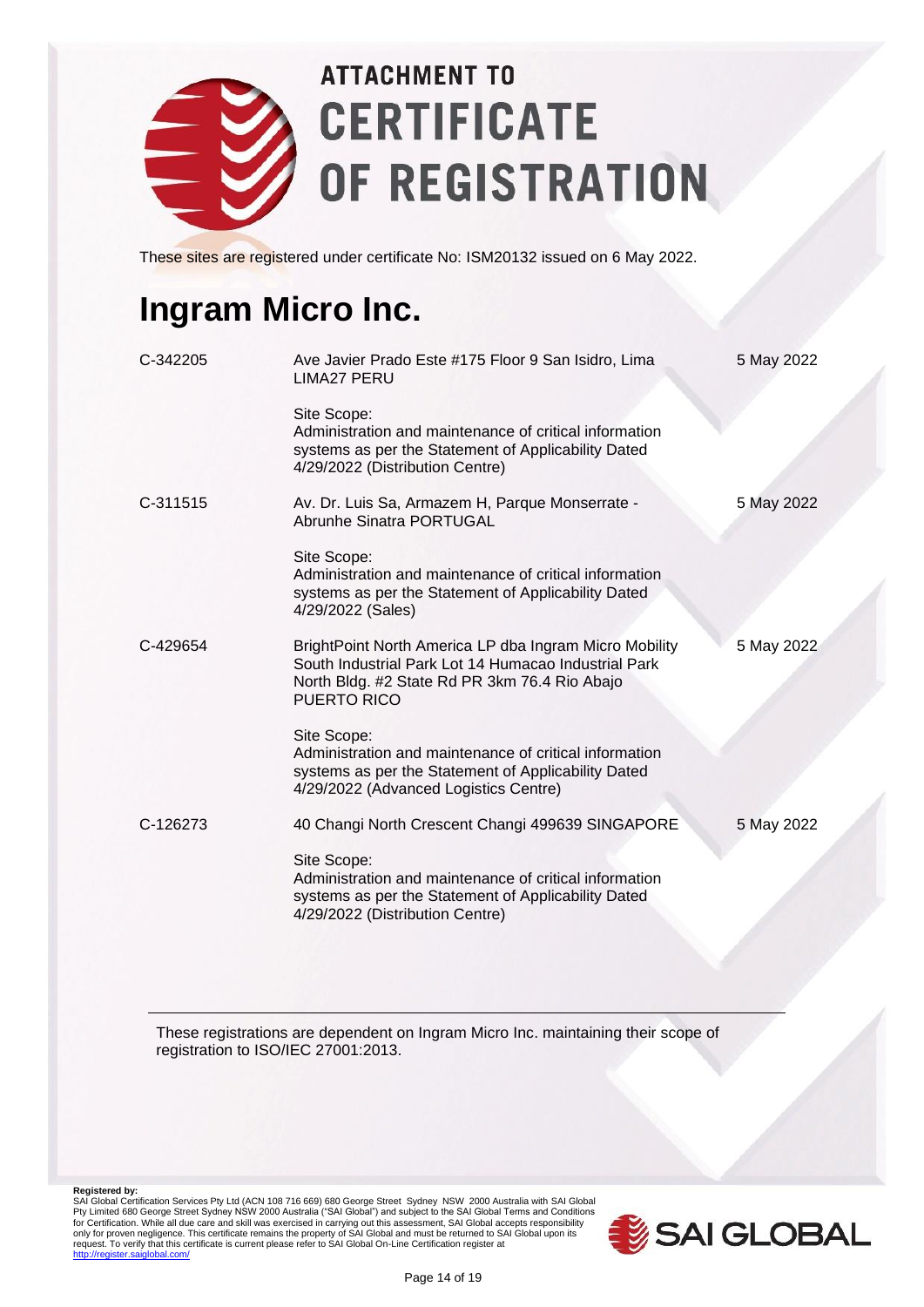

These sites are registered under certificate No: ISM20132 issued on 6 May 2022.

#### **Ingram Micro Inc.**

| C-342205 | Ave Javier Prado Este #175 Floor 9 San Isidro, Lima<br><b>LIMA27 PERU</b>                                                                                                             | 5 May 2022 |
|----------|---------------------------------------------------------------------------------------------------------------------------------------------------------------------------------------|------------|
|          | Site Scope:<br>Administration and maintenance of critical information<br>systems as per the Statement of Applicability Dated<br>4/29/2022 (Distribution Centre)                       |            |
| C-311515 | Av. Dr. Luis Sa, Armazem H, Parque Monserrate -<br>Abrunhe Sinatra PORTUGAL                                                                                                           | 5 May 2022 |
|          | Site Scope:<br>Administration and maintenance of critical information<br>systems as per the Statement of Applicability Dated<br>4/29/2022 (Sales)                                     |            |
| C-429654 | BrightPoint North America LP dba Ingram Micro Mobility<br>South Industrial Park Lot 14 Humacao Industrial Park<br>North Bldg. #2 State Rd PR 3km 76.4 Rio Abajo<br><b>PUERTO RICO</b> | 5 May 2022 |
|          | Site Scope:<br>Administration and maintenance of critical information<br>systems as per the Statement of Applicability Dated<br>4/29/2022 (Advanced Logistics Centre)                 |            |
| C-126273 | 40 Changi North Crescent Changi 499639 SINGAPORE                                                                                                                                      | 5 May 2022 |
|          | Site Scope:<br>Administration and maintenance of critical information<br>systems as per the Statement of Applicability Dated<br>4/29/2022 (Distribution Centre)                       |            |

These registrations are dependent on Ingram Micro Inc. maintaining their scope of registration to ISO/IEC 27001:2013.

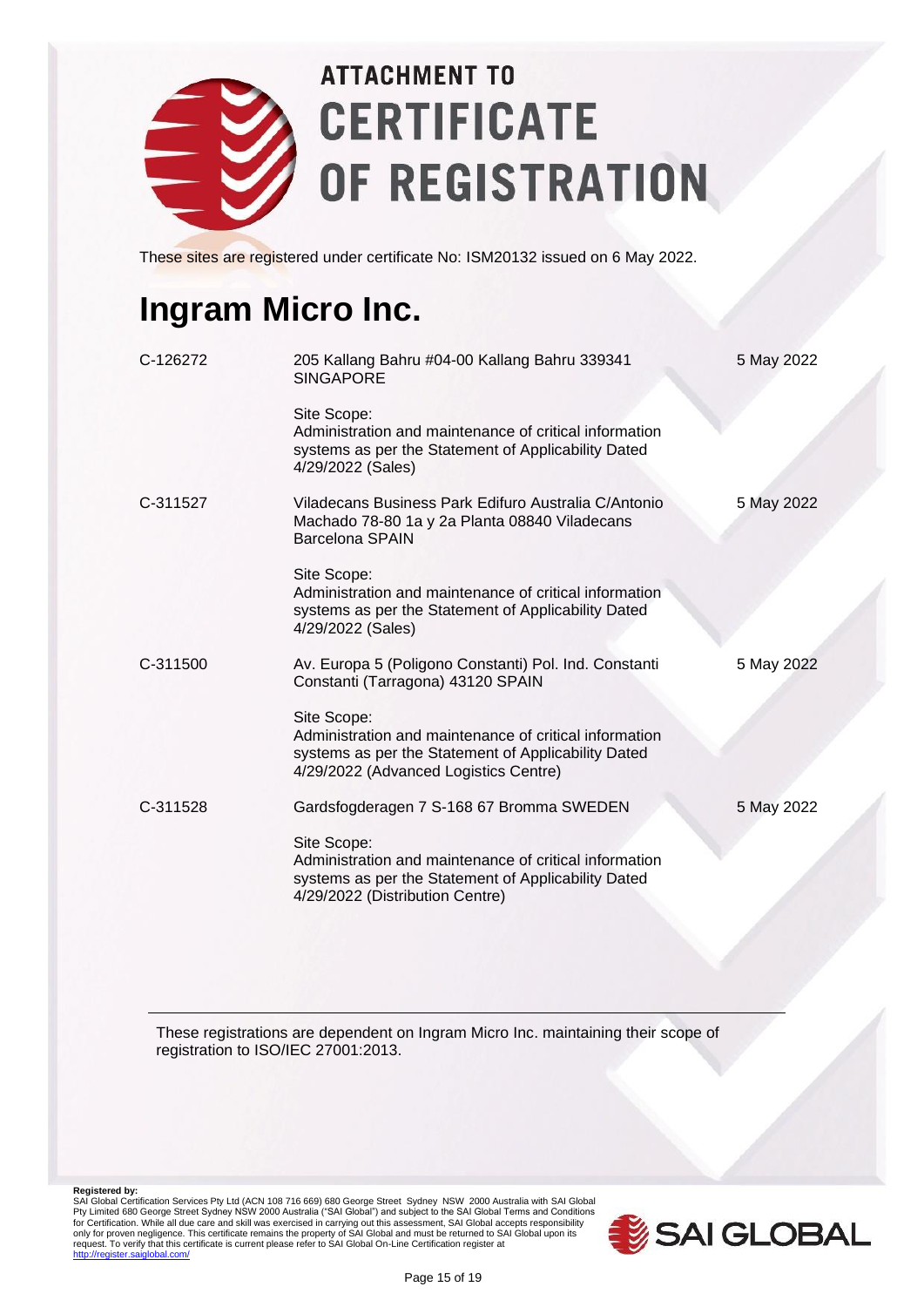

These sites are registered under certificate No: ISM20132 issued on 6 May 2022.

#### **Ingram Micro Inc.**

| C-126272 | 205 Kallang Bahru #04-00 Kallang Bahru 339341<br><b>SINGAPORE</b>                                                                                                     | 5 May 2022 |
|----------|-----------------------------------------------------------------------------------------------------------------------------------------------------------------------|------------|
|          | Site Scope:<br>Administration and maintenance of critical information<br>systems as per the Statement of Applicability Dated<br>4/29/2022 (Sales)                     |            |
| C-311527 | Viladecans Business Park Edifuro Australia C/Antonio<br>Machado 78-80 1a y 2a Planta 08840 Viladecans<br>Barcelona SPAIN                                              | 5 May 2022 |
|          | Site Scope:<br>Administration and maintenance of critical information<br>systems as per the Statement of Applicability Dated<br>4/29/2022 (Sales)                     |            |
| C-311500 | Av. Europa 5 (Poligono Constanti) Pol. Ind. Constanti<br>Constanti (Tarragona) 43120 SPAIN                                                                            | 5 May 2022 |
|          | Site Scope:<br>Administration and maintenance of critical information<br>systems as per the Statement of Applicability Dated<br>4/29/2022 (Advanced Logistics Centre) |            |
| C-311528 | Gardsfogderagen 7 S-168 67 Bromma SWEDEN                                                                                                                              | 5 May 2022 |
|          | Site Scope:<br>Administration and maintenance of critical information<br>systems as per the Statement of Applicability Dated<br>4/29/2022 (Distribution Centre)       |            |

These registrations are dependent on Ingram Micro Inc. maintaining their scope of registration to ISO/IEC 27001:2013.

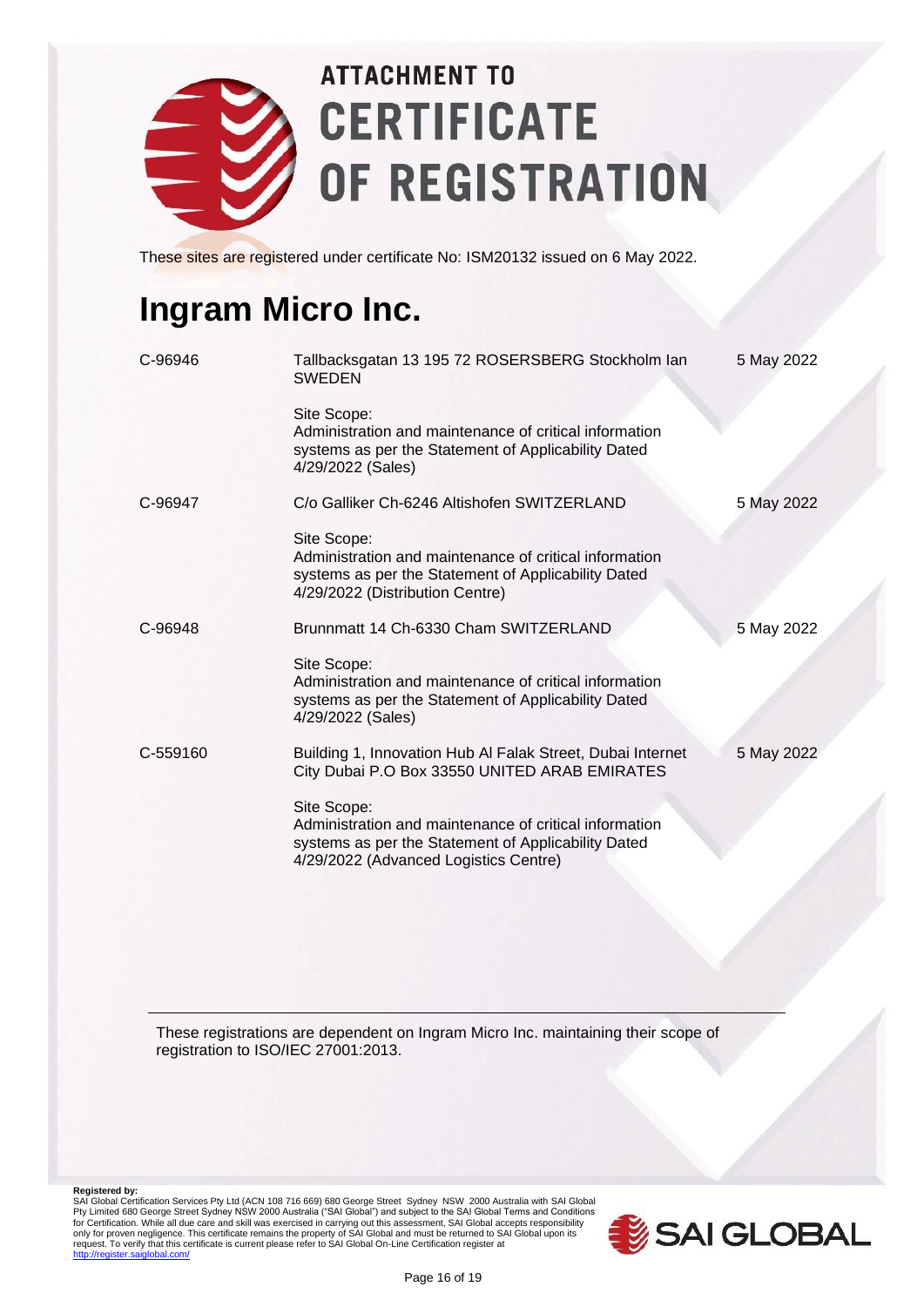

These sites are registered under certificate No: ISM20132 issued on 6 May 2022.

#### **Ingram Micro Inc.**

| C-96946  | Tallbacksgatan 13 195 72 ROSERSBERG Stockholm lan<br><b>SWEDEN</b>                                                                                                    | 5 May 2022 |
|----------|-----------------------------------------------------------------------------------------------------------------------------------------------------------------------|------------|
|          | Site Scope:<br>Administration and maintenance of critical information<br>systems as per the Statement of Applicability Dated<br>4/29/2022 (Sales)                     |            |
| C-96947  | C/o Galliker Ch-6246 Altishofen SWITZERLAND                                                                                                                           | 5 May 2022 |
|          | Site Scope:<br>Administration and maintenance of critical information<br>systems as per the Statement of Applicability Dated<br>4/29/2022 (Distribution Centre)       |            |
| C-96948  | Brunnmatt 14 Ch-6330 Cham SWITZERLAND                                                                                                                                 | 5 May 2022 |
|          | Site Scope:<br>Administration and maintenance of critical information<br>systems as per the Statement of Applicability Dated<br>4/29/2022 (Sales)                     |            |
| C-559160 | Building 1, Innovation Hub Al Falak Street, Dubai Internet<br>City Dubai P.O Box 33550 UNITED ARAB EMIRATES                                                           | 5 May 2022 |
|          | Site Scope:<br>Administration and maintenance of critical information<br>systems as per the Statement of Applicability Dated<br>4/29/2022 (Advanced Logistics Centre) |            |

These registrations are dependent on Ingram Micro Inc. maintaining their scope of registration to ISO/IEC 27001:2013.

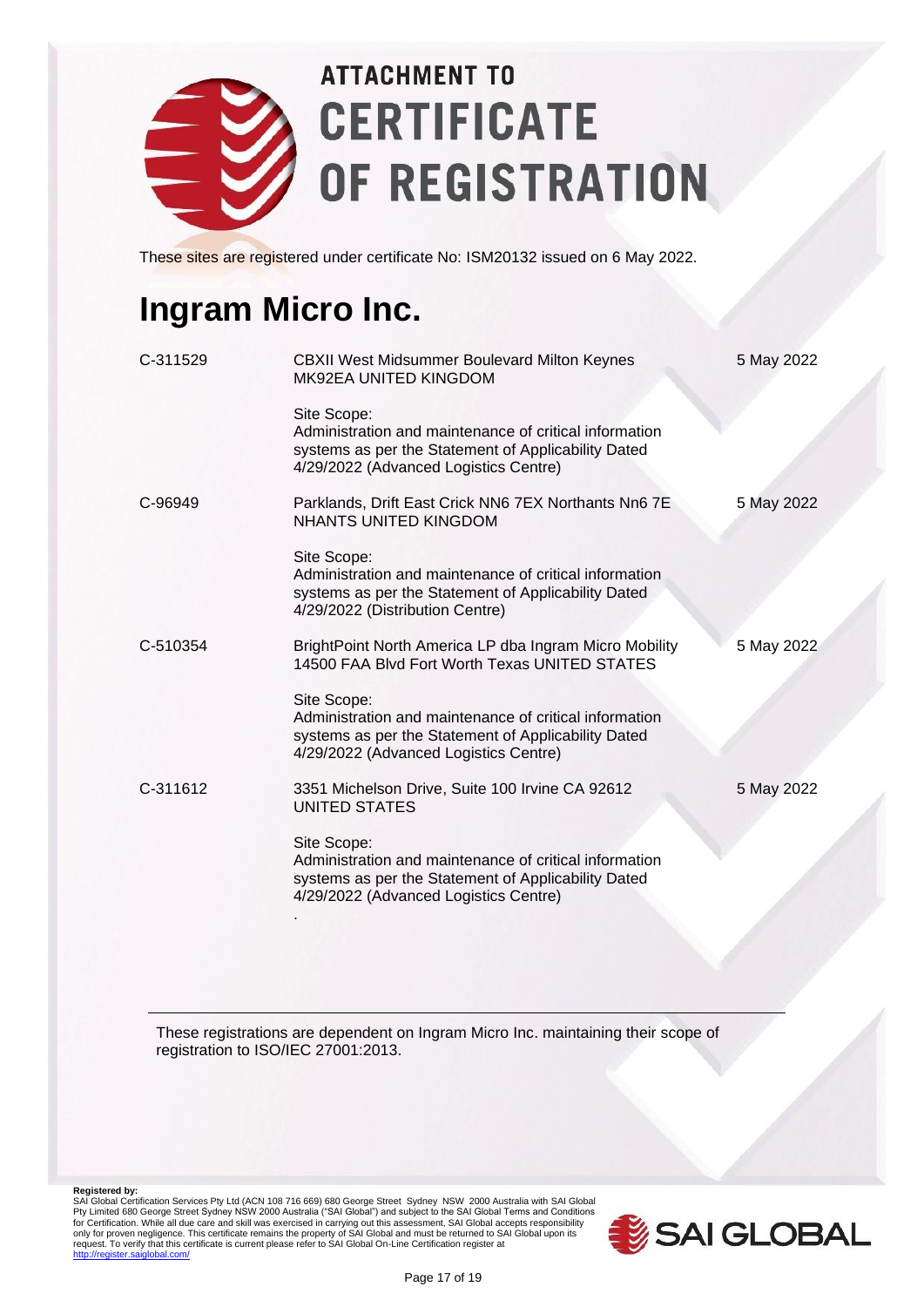

These sites are registered under certificate No: ISM20132 issued on 6 May 2022.

#### **Ingram Micro Inc.**

| C-311529 | <b>CBXII West Midsummer Boulevard Milton Keynes</b><br>MK92EA UNITED KINGDOM                                                                                          | 5 May 2022 |
|----------|-----------------------------------------------------------------------------------------------------------------------------------------------------------------------|------------|
|          | Site Scope:<br>Administration and maintenance of critical information<br>systems as per the Statement of Applicability Dated<br>4/29/2022 (Advanced Logistics Centre) |            |
| C-96949  | Parklands, Drift East Crick NN6 7EX Northants Nn6 7E<br><b>NHANTS UNITED KINGDOM</b>                                                                                  | 5 May 2022 |
|          | Site Scope:<br>Administration and maintenance of critical information<br>systems as per the Statement of Applicability Dated<br>4/29/2022 (Distribution Centre)       |            |
| C-510354 | BrightPoint North America LP dba Ingram Micro Mobility<br>14500 FAA Blvd Fort Worth Texas UNITED STATES                                                               | 5 May 2022 |
|          | Site Scope:<br>Administration and maintenance of critical information<br>systems as per the Statement of Applicability Dated<br>4/29/2022 (Advanced Logistics Centre) |            |
| C-311612 | 3351 Michelson Drive, Suite 100 Irvine CA 92612<br><b>UNITED STATES</b>                                                                                               | 5 May 2022 |
|          | Site Scope:<br>Administration and maintenance of critical information<br>systems as per the Statement of Applicability Dated<br>4/29/2022 (Advanced Logistics Centre) |            |
|          |                                                                                                                                                                       |            |

These registrations are dependent on Ingram Micro Inc. maintaining their scope of registration to ISO/IEC 27001:2013.

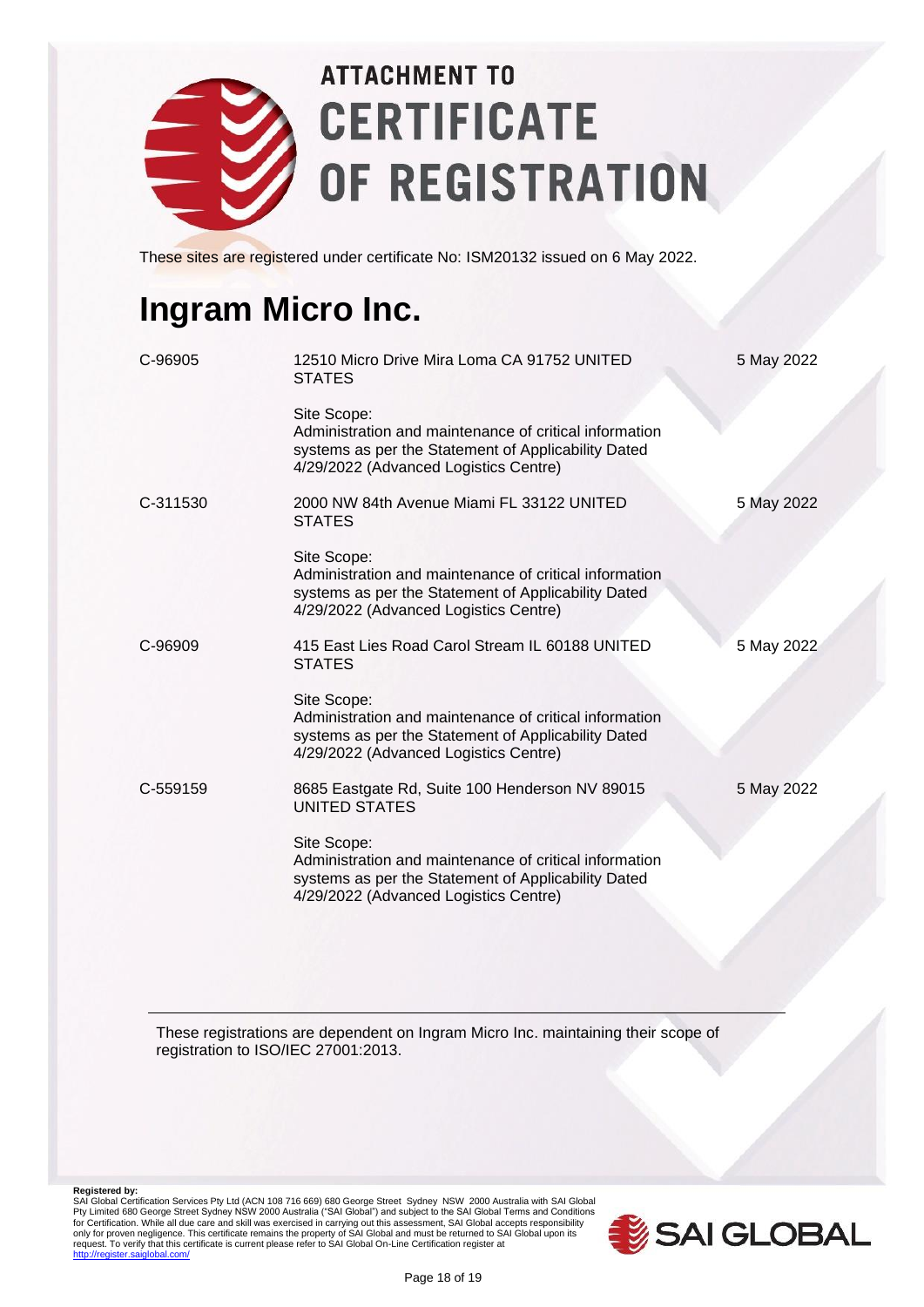

These sites are registered under certificate No: ISM20132 issued on 6 May 2022.

#### **Ingram Micro Inc.**

| C-96905  | 12510 Micro Drive Mira Loma CA 91752 UNITED<br><b>STATES</b>                                                                                                          | 5 May 2022 |
|----------|-----------------------------------------------------------------------------------------------------------------------------------------------------------------------|------------|
|          | Site Scope:<br>Administration and maintenance of critical information<br>systems as per the Statement of Applicability Dated<br>4/29/2022 (Advanced Logistics Centre) |            |
| C-311530 | 2000 NW 84th Avenue Miami FL 33122 UNITED<br><b>STATES</b>                                                                                                            | 5 May 2022 |
|          | Site Scope:<br>Administration and maintenance of critical information<br>systems as per the Statement of Applicability Dated<br>4/29/2022 (Advanced Logistics Centre) |            |
| C-96909  | 415 East Lies Road Carol Stream IL 60188 UNITED<br><b>STATES</b>                                                                                                      | 5 May 2022 |
|          | Site Scope:<br>Administration and maintenance of critical information<br>systems as per the Statement of Applicability Dated<br>4/29/2022 (Advanced Logistics Centre) |            |
| C-559159 | 8685 Eastgate Rd, Suite 100 Henderson NV 89015<br><b>UNITED STATES</b>                                                                                                | 5 May 2022 |
|          | Site Scope:<br>Administration and maintenance of critical information<br>systems as per the Statement of Applicability Dated<br>4/29/2022 (Advanced Logistics Centre) |            |

These registrations are dependent on Ingram Micro Inc. maintaining their scope of registration to ISO/IEC 27001:2013.